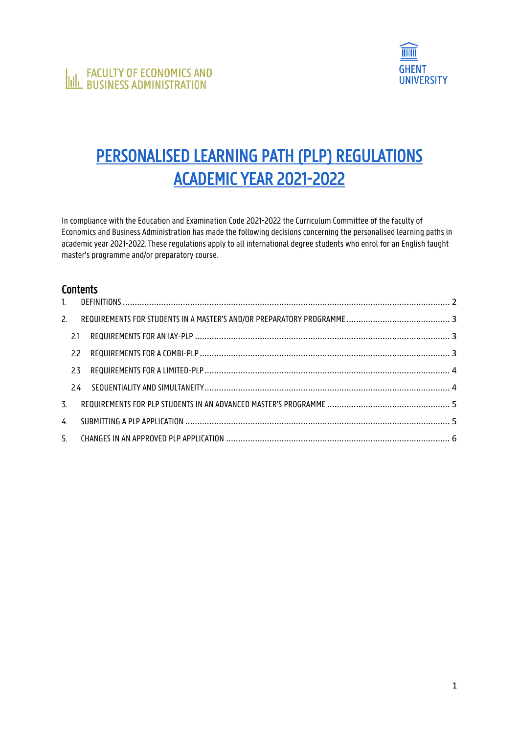

# PERSONALISED LEARNING PATH (PLP) REGULATIONS ACADEMIC YEAR 2021-2022

In compliance with the Education and Examination Code 2021-2022 the Curriculum Committee of the faculty of Economics and Business Administration has made the following decisions concerning the personalised learning paths in academic year 2021-2022. These regulations apply to all international degree students who enrol for an English taught master's programme and/or preparatory course.

# **Contents**

| 2. |    |  |
|----|----|--|
|    | 21 |  |
|    | 22 |  |
|    | 23 |  |
|    |    |  |
| 3. |    |  |
| 4  |    |  |
|    |    |  |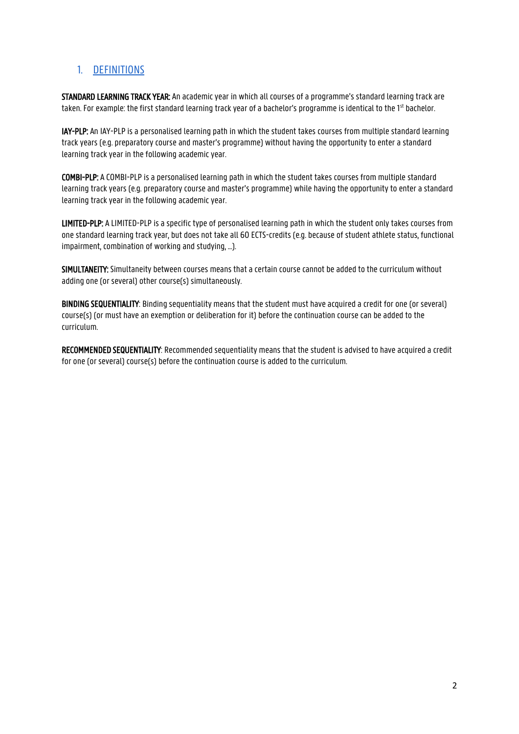# <span id="page-1-0"></span>1. DEFINITIONS

STANDARD LEARNING TRACK YEAR: An academic year in which all courses of a programme's standard learning track are taken. For example: the first standard learning track year of a bachelor's programme is identical to the 1<sup>st</sup> bachelor.

IAY-PLP: An IAY-PLP is a personalised learning path in which the student takes courses from multiple standard learning track years (e.g. preparatory course and master's programme) without having the opportunity to enter a standard learning track year in the following academic year.

COMBI-PLP: A COMBI-PLP is a personalised learning path in which the student takes courses from multiple standard learning track years (e.g. preparatory course and master's programme) while having the opportunity to enter a standard learning track year in the following academic year.

LIMITED-PLP: A LIMITED-PLP is a specific type of personalised learning path in which the student only takes courses from one standard learning track year, but does not take all 60 ECTS-credits (e.g. because of student athlete status, functional impairment, combination of working and studying, …).

SIMULTANEITY: Simultaneity between courses means that a certain course cannot be added to the curriculum without adding one (or several) other course(s) simultaneously.

BINDING SEQUENTIALITY: Binding sequentiality means that the student must have acquired a credit for one (or several) course(s) (or must have an exemption or deliberation for it) before the continuation course can be added to the curriculum.

RECOMMENDED SEQUENTIALITY: Recommended sequentiality means that the student is advised to have acquired a credit for one (or several) course(s) before the continuation course is added to the curriculum.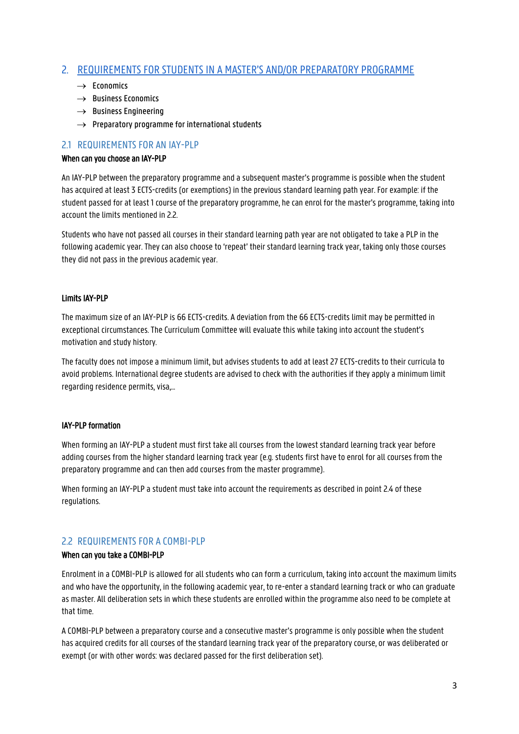# <span id="page-2-0"></span>2. REQUIREMENTS FOR STUDENTS IN A MASTER'S AND/OR PREPARATORY PROGRAMME

- $\rightarrow$  Economics
- $\rightarrow$  Business Economics
- $\rightarrow$  Business Engineering
- $\rightarrow$  Preparatory programme for international students

## <span id="page-2-1"></span>2.1 REQUIREMENTS FOR AN IAY-PLP

#### When can you choose an IAY-PLP

An IAY-PLP between the preparatory programme and a subsequent master's programme is possible when the student has acquired at least 3 ECTS-credits (or exemptions) in the previous standard learning path year. For example: if the student passed for at least 1 course of the preparatory programme, he can enrol for the master's programme, taking into account the limits mentioned in 2.2.

Students who have not passed all courses in their standard learning path year are not obligated to take a PLP in the following academic year. They can also choose to 'repeat' their standard learning track year, taking only those courses they did not pass in the previous academic year.

## Limits IAY-PLP

The maximum size of an IAY-PLP is 66 ECTS-credits. A deviation from the 66 ECTS-credits limit may be permitted in exceptional circumstances. The Curriculum Committee will evaluate this while taking into account the student's motivation and study history.

The faculty does not impose a minimum limit, but advises students to add at least 27 ECTS-credits to their curricula to avoid problems. International degree students are advised to check with the authorities if they apply a minimum limit regarding residence permits, visa,…

#### IAY-PLP formation

When forming an IAY-PLP a student must first take all courses from the lowest standard learning track year before adding courses from the higher standard learning track year (e.g. students first have to enrol for all courses from the preparatory programme and can then add courses from the master programme).

When forming an IAY-PLP a student must take into account the requirements as described in point 2.4 of these regulations.

## <span id="page-2-2"></span>2.2 REQUIREMENTS FOR A COMBI-PLP

#### When can you take a COMBI-PLP

Enrolment in a COMBI-PLP is allowed for all students who can form a curriculum, taking into account the maximum limits and who have the opportunity, in the following academic year, to re-enter a standard learning track or who can graduate as master. All deliberation sets in which these students are enrolled within the programme also need to be complete at that time.

A COMBI-PLP between a preparatory course and a consecutive master's programme is only possible when the student has acquired credits for all courses of the standard learning track year of the preparatory course, or was deliberated or exempt (or with other words: was declared passed for the first deliberation set).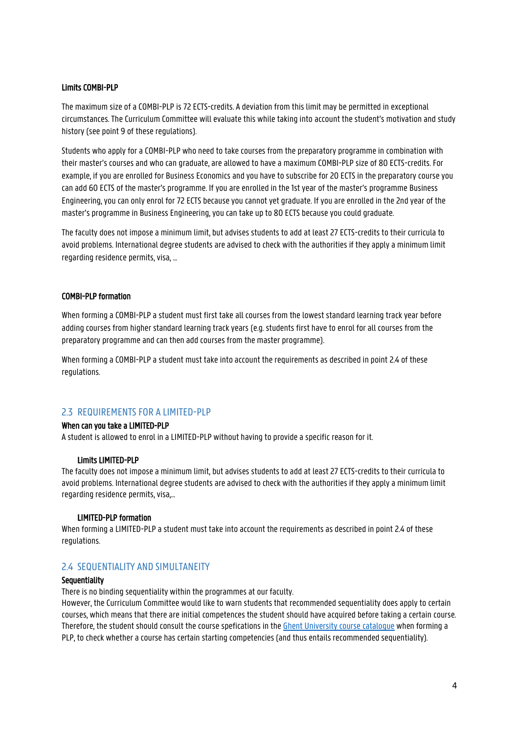#### Limits COMBI-PLP

The maximum size of a COMBI-PLP is 72 ECTS-credits. A deviation from this limit may be permitted in exceptional circumstances. The Curriculum Committee will evaluate this while taking into account the student's motivation and study history (see point 9 of these regulations).

Students who apply for a COMBI-PLP who need to take courses from the preparatory programme in combination with their master's courses and who can graduate, are allowed to have a maximum COMBI-PLP size of 80 ECTS-credits. For example, if you are enrolled for Business Economics and you have to subscribe for 20 ECTS in the preparatory course you can add 60 ECTS of the master's programme. If you are enrolled in the 1st year of the master's programme Business Engineering, you can only enrol for 72 ECTS because you cannot yet graduate. If you are enrolled in the 2nd year of the master's programme in Business Engineering, you can take up to 80 ECTS because you could graduate.

The faculty does not impose a minimum limit, but advises students to add at least 27 ECTS-credits to their curricula to avoid problems. International degree students are advised to check with the authorities if they apply a minimum limit regarding residence permits, visa, …

#### COMBI-PLP formation

When forming a COMBI-PLP a student must first take all courses from the lowest standard learning track year before adding courses from higher standard learning track years (e.g. students first have to enrol for all courses from the preparatory programme and can then add courses from the master programme).

When forming a COMBI-PLP a student must take into account the requirements as described in point 2.4 of these regulations.

## <span id="page-3-0"></span>2.3 REQUIREMENTS FOR A LIMITED-PLP

#### When can you take a LIMITED-PLP

A student is allowed to enrol in a LIMITED-PLP without having to provide a specific reason for it.

#### Limits LIMITED-PLP

The faculty does not impose a minimum limit, but advises students to add at least 27 ECTS-credits to their curricula to avoid problems. International degree students are advised to check with the authorities if they apply a minimum limit regarding residence permits, visa,…

#### LIMITED-PLP formation

When forming a LIMITED-PLP a student must take into account the requirements as described in point 2.4 of these regulations.

#### <span id="page-3-1"></span>2.4 SEQUENTIALITY AND SIMULTANEITY

#### **Sequentiality**

There is no binding sequentiality within the programmes at our faculty.

However, the Curriculum Committee would like to warn students that recommended sequentiality does apply to certain courses, which means that there are initial competences the student should have acquired before taking a certain course. Therefore, the student should consult the course spefications in the Ghent University course catalogue when forming a PLP, to check whether a course has certain starting competencies (and thus entails recommended sequentiality).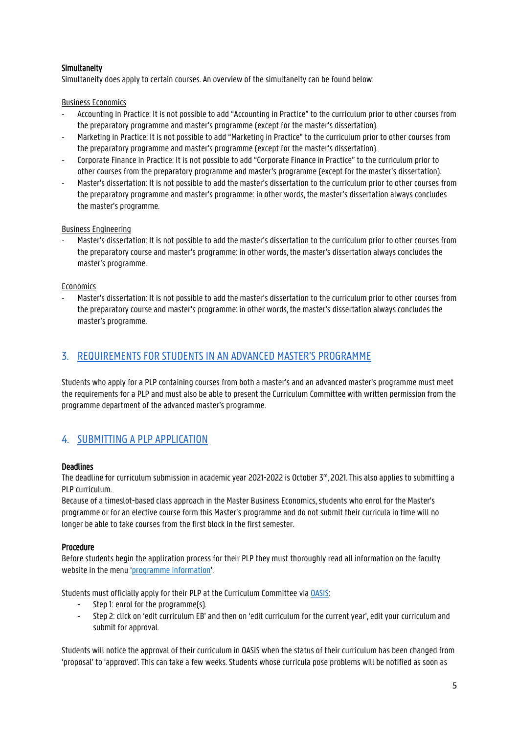## Simultaneity

Simultaneity does apply to certain courses. An overview of the simultaneity can be found below:

## Business Economics

- Accounting in Practice: It is not possible to add "Accounting in Practice" to the curriculum prior to other courses from the preparatory programme and master's programme (except for the master's dissertation).
- Marketing in Practice: It is not possible to add "Marketing in Practice" to the curriculum prior to other courses from the preparatory programme and master's programme (except for the master's dissertation).
- Corporate Finance in Practice: It is not possible to add "Corporate Finance in Practice" to the curriculum prior to other courses from the preparatory programme and master's programme (except for the master's dissertation).
- Master's dissertation: It is not possible to add the master's dissertation to the curriculum prior to other courses from the preparatory programme and master's programme: in other words, the master's dissertation always concludes the master's programme.

## Business Engineering

- Master's dissertation: It is not possible to add the master's dissertation to the curriculum prior to other courses from the preparatory course and master's programme: in other words, the master's dissertation always concludes the master's programme.

## Economics

- Master's dissertation: It is not possible to add the master's dissertation to the curriculum prior to other courses from the preparatory course and master's programme: in other words, the master's dissertation always concludes the master's programme.

# <span id="page-4-0"></span>3. REQUIREMENTS FOR STUDENTS IN AN ADVANCED MASTER'S PROGRAMME

Students who apply for a PLP containing courses from both a master's and an advanced master's programme must meet the requirements for a PLP and must also be able to present the Curriculum Committee with written permission from the programme department of the advanced master's programme.

# <span id="page-4-1"></span>4. SUBMITTING A PLP APPLICATION

#### **Deadlines**

The deadline for curriculum submission in academic year 2021-2022 is October 3<sup>rd</sup>, 2021. This also applies to submitting a PLP curriculum.

Because of a timeslot-based class approach in the Master Business Economics, students who enrol for the Master's programme or for an elective course form this Master's programme and do not submit their curricula in time will no longer be able to take courses from the first block in the first semester.

#### Procedure

Before students begin the application process for their PLP they must thoroughly read all information on the faculty website in the menu '[programme information](https://www.ugent.be/eb/en/degree-students/information-for-current-students.htm)'.

Students must officially apply for their PLP at the Curriculum Committee vi[a OASIS:](http://oasis.ugent.be/)

- Step 1: enrol for the programme(s).
- Step 2: click on 'edit curriculum EB' and then on 'edit curriculum for the current year', edit your curriculum and submit for approval.

Students will notice the approval of their curriculum in OASIS when the status of their curriculum has been changed from 'proposal' to 'approved'. This can take a few weeks. Students whose curricula pose problems will be notified as soon as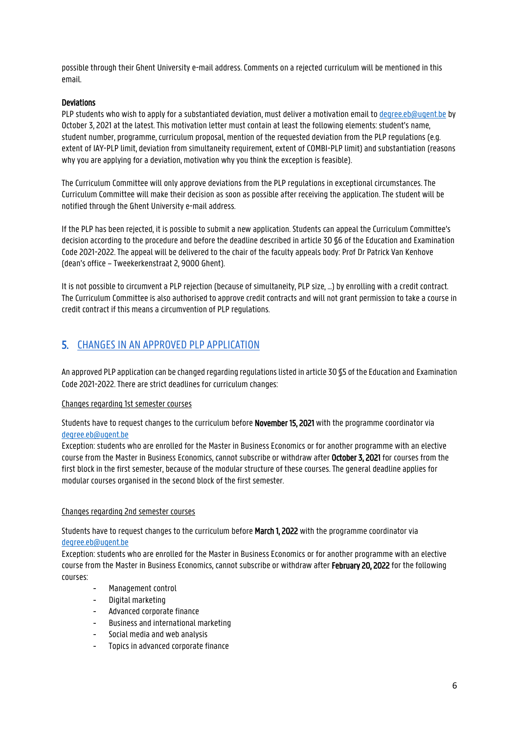possible through their Ghent University e-mail address. Comments on a rejected curriculum will be mentioned in this email.

### **Deviations**

PLP students who wish to apply for a substantiated deviation, must deliver a motivation email t[o degree.eb@ugent.be](mailto:degree.eb@ugent.be) by October 3, 2021 at the latest. This motivation letter must contain at least the following elements: student's name, student number, programme, curriculum proposal, mention of the requested deviation from the PLP regulations (e.g. extent of IAY-PLP limit, deviation from simultaneity requirement, extent of COMBI-PLP limit) and substantiation (reasons why you are applying for a deviation, motivation why you think the exception is feasible).

The Curriculum Committee will only approve deviations from the PLP regulations in exceptional circumstances. The Curriculum Committee will make their decision as soon as possible after receiving the application. The student will be notified through the Ghent University e-mail address.

If the PLP has been rejected, it is possible to submit a new application. Students can appeal the Curriculum Committee's decision according to the procedure and before the deadline described in article 30 §6 of the Education and Examination Code 2021-2022. The appeal will be delivered to the chair of the faculty appeals body: Prof Dr Patrick Van Kenhove (dean's office – Tweekerkenstraat 2, 9000 Ghent).

It is not possible to circumvent a PLP rejection (because of simultaneity, PLP size, …) by enrolling with a credit contract. The Curriculum Committee is also authorised to approve credit contracts and will not grant permission to take a course in credit contract if this means a circumvention of PLP regulations.

# <span id="page-5-0"></span>5. CHANGES IN AN APPROVED PLP APPLICATION

An approved PLP application can be changed regarding regulations listed in article 30 §5 of the Education and Examination Code 2021-2022. There are strict deadlines for curriculum changes:

#### Changes regarding 1st semester courses

Students have to request changes to the curriculum before November 15, 2021 with the programme coordinator via [degree.eb@ugent.be](mailto:degree.eb@ugent.be)

Exception: students who are enrolled for the Master in Business Economics or for another programme with an elective course from the Master in Business Economics, cannot subscribe or withdraw after October 3, 2021 for courses from the first block in the first semester, because of the modular structure of these courses. The general deadline applies for modular courses organised in the second block of the first semester.

#### Changes regarding 2nd semester courses

Students have to request changes to the curriculum before March 1, 2022 with the programme coordinator via [degree.eb@ugent.be](mailto:degree.eb@ugent.be)

Exception: students who are enrolled for the Master in Business Economics or for another programme with an elective course from the Master in Business Economics, cannot subscribe or withdraw after February 20, 2022 for the following courses:

- Management control
- Digital marketing
- Advanced corporate finance
- Business and international marketing
- Social media and web analysis
- Topics in advanced corporate finance